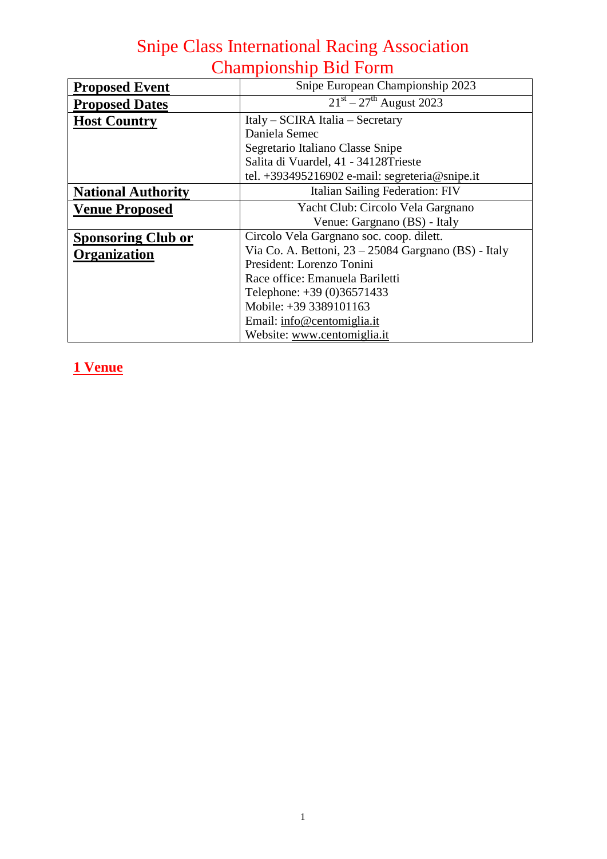| <b>Proposed Event</b>     | Snipe European Championship 2023                       |  |  |
|---------------------------|--------------------------------------------------------|--|--|
| <b>Proposed Dates</b>     | $21st - 27th$ August 2023                              |  |  |
| <b>Host Country</b>       | Italy – SCIRA Italia – Secretary                       |  |  |
|                           | Daniela Semec                                          |  |  |
|                           | Segretario Italiano Classe Snipe                       |  |  |
|                           | Salita di Vuardel, 41 - 34128Trieste                   |  |  |
|                           | tel. +393495216902 e-mail: segreteria@snipe.it         |  |  |
| <b>National Authority</b> | Italian Sailing Federation: FIV                        |  |  |
| <b>Venue Proposed</b>     | Yacht Club: Circolo Vela Gargnano                      |  |  |
|                           | Venue: Gargnano (BS) - Italy                           |  |  |
| <b>Sponsoring Club or</b> | Circolo Vela Gargnano soc. coop. dilett.               |  |  |
| <b>Organization</b>       | Via Co. A. Bettoni, $23 - 25084$ Gargnano (BS) - Italy |  |  |
|                           | President: Lorenzo Tonini                              |  |  |
|                           | Race office: Emanuela Bariletti                        |  |  |
|                           | Telephone: +39 (0)36571433                             |  |  |
|                           | Mobile: +39 3389101163                                 |  |  |
|                           | Email: info@centomiglia.it                             |  |  |
|                           | Website: www.centomiglia.it                            |  |  |

## **1 Venue**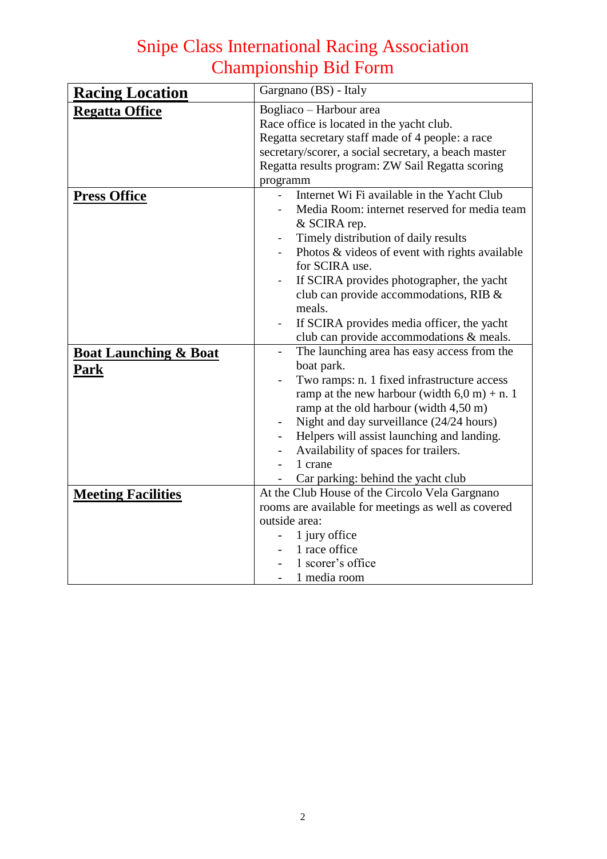| <b>Racing Location</b>           | Gargnano (BS) - Italy                                                   |  |  |
|----------------------------------|-------------------------------------------------------------------------|--|--|
| <b>Regatta Office</b>            | Bogliaco - Harbour area                                                 |  |  |
|                                  | Race office is located in the yacht club.                               |  |  |
|                                  | Regatta secretary staff made of 4 people: a race                        |  |  |
|                                  | secretary/scorer, a social secretary, a beach master                    |  |  |
|                                  | Regatta results program: ZW Sail Regatta scoring                        |  |  |
|                                  | programm                                                                |  |  |
| <b>Press Office</b>              | Internet Wi Fi available in the Yacht Club                              |  |  |
|                                  | Media Room: internet reserved for media team                            |  |  |
|                                  | & SCIRA rep.                                                            |  |  |
|                                  | Timely distribution of daily results                                    |  |  |
|                                  | Photos & videos of event with rights available                          |  |  |
|                                  | for SCIRA use.                                                          |  |  |
|                                  | If SCIRA provides photographer, the yacht                               |  |  |
|                                  | club can provide accommodations, RIB &                                  |  |  |
|                                  | meals.                                                                  |  |  |
|                                  | If SCIRA provides media officer, the yacht                              |  |  |
|                                  | club can provide accommodations & meals.                                |  |  |
| <b>Boat Launching &amp; Boat</b> | The launching area has easy access from the<br>$\overline{\phantom{a}}$ |  |  |
|                                  | boat park.                                                              |  |  |
| Park                             | Two ramps: n. 1 fixed infrastructure access                             |  |  |
|                                  | ramp at the new harbour (width $6,0$ m) + n. 1                          |  |  |
|                                  | ramp at the old harbour (width 4,50 m)                                  |  |  |
|                                  | Night and day surveillance (24/24 hours)                                |  |  |
|                                  | Helpers will assist launching and landing.                              |  |  |
|                                  |                                                                         |  |  |
|                                  | Availability of spaces for trailers.<br>1 crane                         |  |  |
|                                  |                                                                         |  |  |
|                                  | Car parking: behind the yacht club                                      |  |  |
| <b>Meeting Facilities</b>        | At the Club House of the Circolo Vela Gargnano                          |  |  |
|                                  | rooms are available for meetings as well as covered                     |  |  |
|                                  | outside area:                                                           |  |  |
|                                  | 1 jury office                                                           |  |  |
|                                  | 1 race office                                                           |  |  |
|                                  | 1 scorer's office                                                       |  |  |
|                                  | 1 media room                                                            |  |  |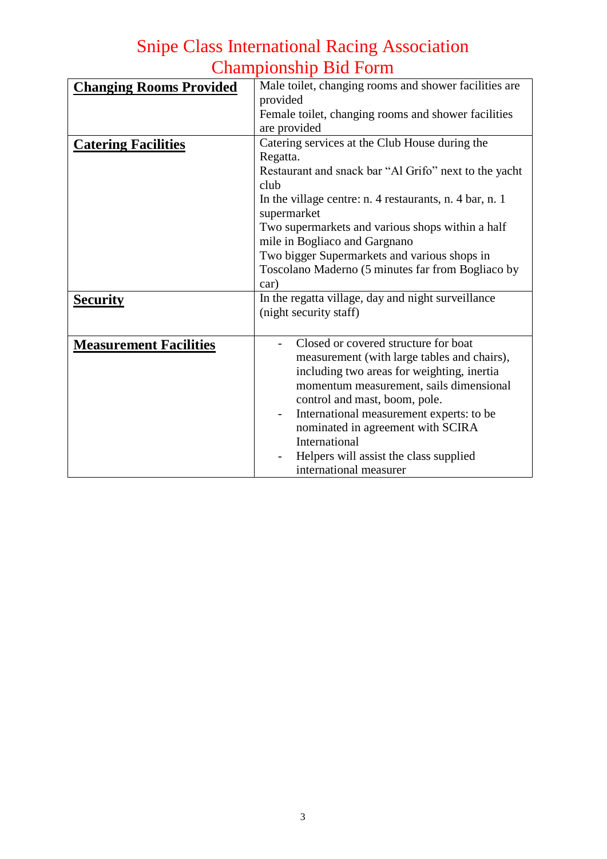| <b>Changing Rooms Provided</b> | Male toilet, changing rooms and shower facilities are<br>provided<br>Female toilet, changing rooms and shower facilities<br>are provided                                                                                                                                                                                                                                                                        |  |
|--------------------------------|-----------------------------------------------------------------------------------------------------------------------------------------------------------------------------------------------------------------------------------------------------------------------------------------------------------------------------------------------------------------------------------------------------------------|--|
| <b>Catering Facilities</b>     | Catering services at the Club House during the<br>Regatta.<br>Restaurant and snack bar "Al Grifo" next to the yacht<br>club<br>In the village centre: n. 4 restaurants, n. 4 bar, n. 1<br>supermarket<br>Two supermarkets and various shops within a half<br>mile in Bogliaco and Gargnano<br>Two bigger Supermarkets and various shops in<br>Toscolano Maderno (5 minutes far from Bogliaco by<br>car)         |  |
| <b>Security</b>                | In the regatta village, day and night surveillance<br>(night security staff)                                                                                                                                                                                                                                                                                                                                    |  |
| <b>Measurement Facilities</b>  | Closed or covered structure for boat<br>measurement (with large tables and chairs),<br>including two areas for weighting, inertia<br>momentum measurement, sails dimensional<br>control and mast, boom, pole.<br>International measurement experts: to be<br>$\overline{\phantom{0}}$<br>nominated in agreement with SCIRA<br>International<br>Helpers will assist the class supplied<br>international measurer |  |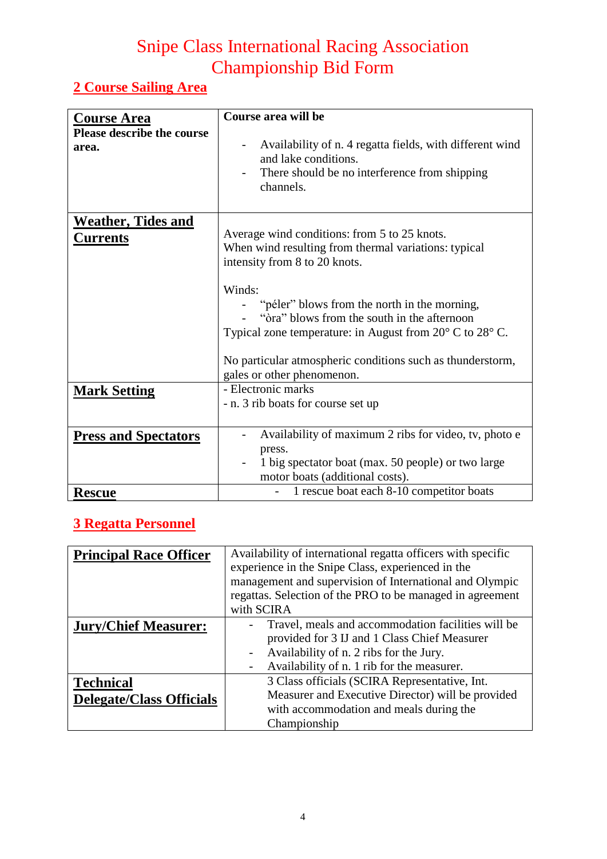### **2 Course Sailing Area**

|                                                                  | Course area will be                                                                                                                                                                 |
|------------------------------------------------------------------|-------------------------------------------------------------------------------------------------------------------------------------------------------------------------------------|
| <b>Course Area</b><br><b>Please describe the course</b><br>area. | Availability of n. 4 regatta fields, with different wind<br>$\overline{\phantom{a}}$<br>and lake conditions.                                                                        |
|                                                                  | There should be no interference from shipping<br>channels.                                                                                                                          |
| <u>Weather, Tides and</u><br><u>Currents</u>                     | Average wind conditions: from 5 to 25 knots.<br>When wind resulting from thermal variations: typical<br>intensity from 8 to 20 knots.                                               |
|                                                                  | Winds:<br>"péler" blows from the north in the morning,<br>"ora" blows from the south in the afternoon<br>Typical zone temperature: in August from $20^{\circ}$ C to $28^{\circ}$ C. |
|                                                                  | No particular atmospheric conditions such as thunderstorm,<br>gales or other phenomenon.                                                                                            |
| <b>Mark Setting</b>                                              | - Electronic marks<br>- n. 3 rib boats for course set up                                                                                                                            |
| <b>Press and Spectators</b>                                      | Availability of maximum 2 ribs for video, tv, photo e<br>press.<br>1 big spectator boat (max. 50 people) or two large<br>motor boats (additional costs).                            |
| <b>Rescue</b>                                                    | 1 rescue boat each 8-10 competitor boats                                                                                                                                            |

### **3 Regatta Personnel**

| <b>Principal Race Officer</b>   | Availability of international regatta officers with specific<br>experience in the Snipe Class, experienced in the<br>management and supervision of International and Olympic<br>regattas. Selection of the PRO to be managed in agreement |  |  |
|---------------------------------|-------------------------------------------------------------------------------------------------------------------------------------------------------------------------------------------------------------------------------------------|--|--|
|                                 | with SCIRA                                                                                                                                                                                                                                |  |  |
| <b>Jury/Chief Measurer:</b>     | Travel, meals and accommodation facilities will be<br>provided for 3 IJ and 1 Class Chief Measurer<br>Availability of n. 2 ribs for the Jury.<br>Availability of n. 1 rib for the measurer.<br>$\qquad \qquad -$                          |  |  |
| <b>Technical</b>                | 3 Class officials (SCIRA Representative, Int.                                                                                                                                                                                             |  |  |
| <b>Delegate/Class Officials</b> | Measurer and Executive Director) will be provided                                                                                                                                                                                         |  |  |
|                                 | with accommodation and meals during the                                                                                                                                                                                                   |  |  |
|                                 | Championship                                                                                                                                                                                                                              |  |  |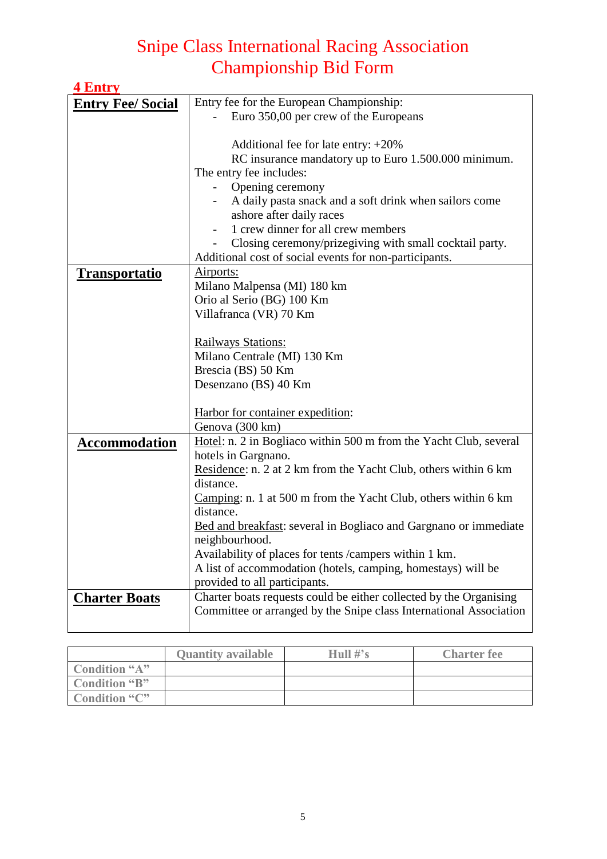| <b>4 Entry</b>           |                                                                                        |
|--------------------------|----------------------------------------------------------------------------------------|
| <b>Entry Fee/ Social</b> | Entry fee for the European Championship:                                               |
|                          | Euro 350,00 per crew of the Europeans                                                  |
|                          |                                                                                        |
|                          | Additional fee for late entry: $+20\%$                                                 |
|                          | RC insurance mandatory up to Euro 1.500.000 minimum.                                   |
|                          | The entry fee includes:                                                                |
|                          | Opening ceremony                                                                       |
|                          | A daily pasta snack and a soft drink when sailors come                                 |
|                          | ashore after daily races                                                               |
|                          | 1 crew dinner for all crew members                                                     |
|                          | Closing ceremony/prizegiving with small cocktail party.                                |
|                          | Additional cost of social events for non-participants.                                 |
| <u>Transportatio</u>     | Airports:                                                                              |
|                          | Milano Malpensa (MI) 180 km                                                            |
|                          | Orio al Serio (BG) 100 Km                                                              |
|                          | Villafranca (VR) 70 Km                                                                 |
|                          |                                                                                        |
|                          | Railways Stations:                                                                     |
|                          | Milano Centrale (MI) 130 Km                                                            |
|                          | Brescia (BS) 50 Km                                                                     |
|                          | Desenzano (BS) 40 Km                                                                   |
|                          |                                                                                        |
|                          | Harbor for container expedition:                                                       |
|                          | Genova (300 km)                                                                        |
| <b>Accommodation</b>     | Hotel: n. 2 in Bogliaco within 500 m from the Yacht Club, several                      |
|                          | hotels in Gargnano.<br>Residence: n. 2 at 2 km from the Yacht Club, others within 6 km |
|                          | distance.                                                                              |
|                          | Camping: n. 1 at 500 m from the Yacht Club, others within 6 km                         |
|                          | distance.                                                                              |
|                          | Bed and breakfast: several in Bogliaco and Gargnano or immediate                       |
|                          | neighbourhood.                                                                         |
|                          | Availability of places for tents /campers within 1 km.                                 |
|                          | A list of accommodation (hotels, camping, homestays) will be                           |
|                          | provided to all participants.                                                          |
| <b>Charter Boats</b>     | Charter boats requests could be either collected by the Organising                     |
|                          | Committee or arranged by the Snipe class International Association                     |
|                          |                                                                                        |

|               | <b>Quantity available</b> | Hull $\#$ 's | <b>Charter fee</b> |
|---------------|---------------------------|--------------|--------------------|
| Condition "A" |                           |              |                    |
| Condition "B" |                           |              |                    |
| Condition "C" |                           |              |                    |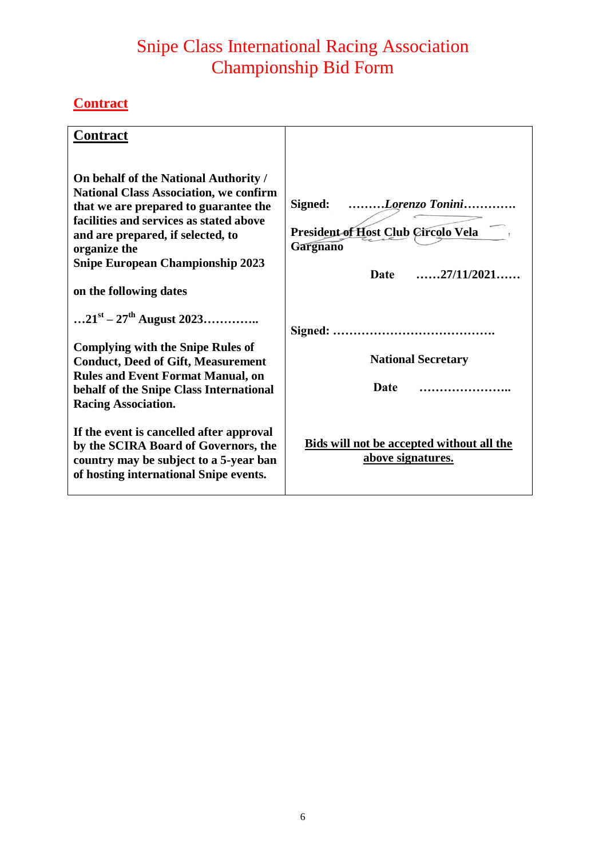### **Contract**

| <b>Contract</b>                                                                                                                                                                                                                                                                                      |                                                                                                                                      |
|------------------------------------------------------------------------------------------------------------------------------------------------------------------------------------------------------------------------------------------------------------------------------------------------------|--------------------------------------------------------------------------------------------------------------------------------------|
| On behalf of the National Authority /<br><b>National Class Association, we confirm</b><br>that we are prepared to guarantee the<br>facilities and services as stated above<br>and are prepared, if selected, to<br>organize the<br><b>Snipe European Championship 2023</b><br>on the following dates | Signed: Lorenzo Tonini<br>President of Host Club Circolo Vela<br><b>Gargnano</b><br>$\ldots \ldots 27/11/2021 \ldots$<br><b>Date</b> |
| $21^{st} - 27^{th}$ August 2023                                                                                                                                                                                                                                                                      |                                                                                                                                      |
| <b>Complying with the Snipe Rules of</b><br><b>Conduct, Deed of Gift, Measurement</b><br><b>Rules and Event Format Manual, on</b><br>behalf of the Snipe Class International                                                                                                                         | <b>National Secretary</b><br>Date                                                                                                    |
| <b>Racing Association.</b><br>If the event is cancelled after approval<br>by the SCIRA Board of Governors, the<br>country may be subject to a 5-year ban<br>of hosting international Snipe events.                                                                                                   | <b>Bids will not be accepted without all the</b><br>above signatures.                                                                |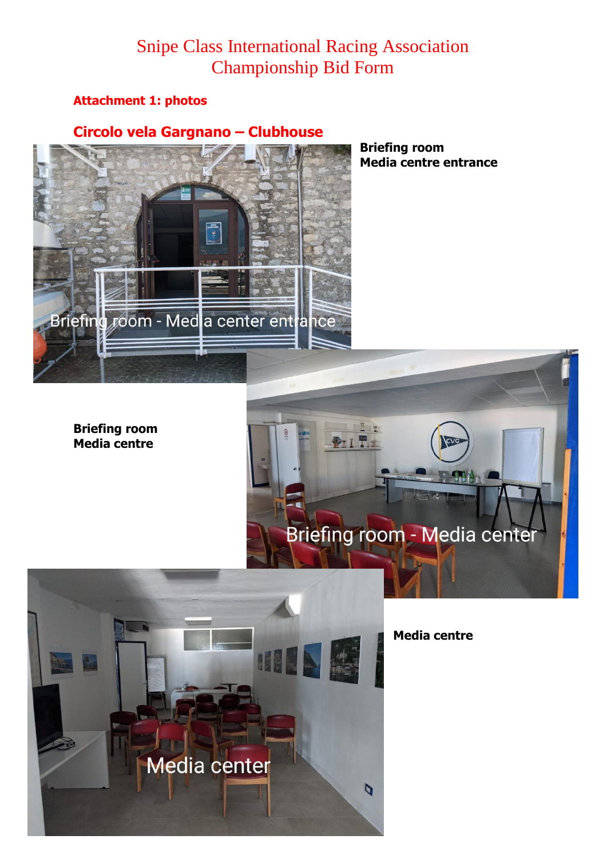#### **Attachment 1: photos**

#### **Circolo vela Gargnano – Clubhouse**



**Briefing room Media centre entrance**

**Briefing room Media centre**





**Media centre**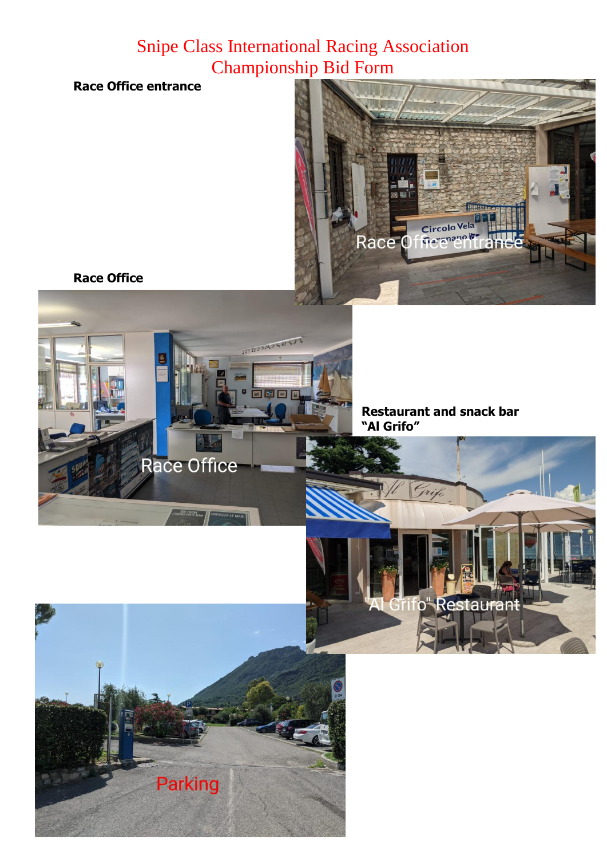